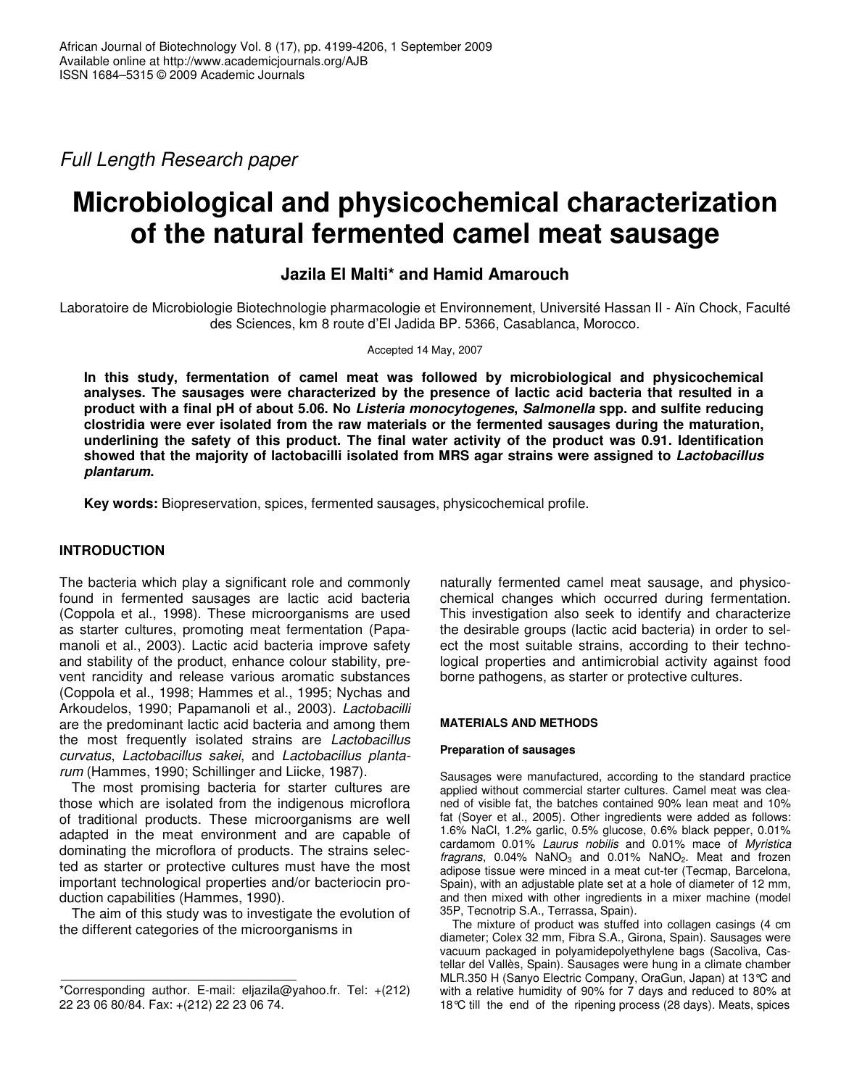*Full Length Research paper*

# **Microbiological and physicochemical characterization of the natural fermented camel meat sausage**

**Jazila El Malti\* and Hamid Amarouch**

Laboratoire de Microbiologie Biotechnologie pharmacologie et Environnement, Université Hassan II - Aïn Chock, Faculté des Sciences, km 8 route d'El Jadida BP. 5366, Casablanca, Morocco.

Accepted 14 May, 2007

**In this study, fermentation of camel meat was followed by microbiological and physicochemical analyses. The sausages were characterized by the presence of lactic acid bacteria that resulted in a product with a final pH of about 5.06. No** *Listeria monocytogenes***,** *Salmonella* **spp. and sulfite reducing clostridia were ever isolated from the raw materials or the fermented sausages during the maturation, underlining the safety of this product. The final water activity of the product was 0.91. Identification showed that the majority of lactobacilli isolated from MRS agar strains were assigned to** *Lactobacillus plantarum***.**

**Key words:** Biopreservation, spices, fermented sausages, physicochemical profile.

# **INTRODUCTION**

The bacteria which play a significant role and commonly found in fermented sausages are lactic acid bacteria (Coppola et al., 1998). These microorganisms are used as starter cultures, promoting meat fermentation (Papamanoli et al., 2003). Lactic acid bacteria improve safety and stability of the product, enhance colour stability, prevent rancidity and release various aromatic substances (Coppola et al., 1998; Hammes et al., 1995; Nychas and Arkoudelos, 1990; Papamanoli et al., 2003). *Lactobacilli* are the predominant lactic acid bacteria and among them the most frequently isolated strains are *Lactobacillus curvatus*, *Lactobacillus sakei*, and *Lactobacillus plantarum* (Hammes, 1990; Schillinger and Liicke, 1987).

The most promising bacteria for starter cultures are those which are isolated from the indigenous microflora of traditional products. These microorganisms are well adapted in the meat environment and are capable of dominating the microflora of products. The strains selected as starter or protective cultures must have the most important technological properties and/or bacteriocin production capabilities (Hammes, 1990).

The aim of this study was to investigate the evolution of the different categories of the microorganisms in

naturally fermented camel meat sausage, and physicochemical changes which occurred during fermentation. This investigation also seek to identify and characterize the desirable groups (lactic acid bacteria) in order to select the most suitable strains, according to their technological properties and antimicrobial activity against food borne pathogens, as starter or protective cultures.

## **MATERIALS AND METHODS**

## **Preparation of sausages**

Sausages were manufactured, according to the standard practice applied without commercial starter cultures. Camel meat was cleaned of visible fat, the batches contained 90% lean meat and 10% fat (Soyer et al., 2005). Other ingredients were added as follows: 1.6% NaCl, 1.2% garlic, 0.5% glucose, 0.6% black pepper, 0.01% cardamom 0.01% *Laurus nobilis* and 0.01% mace of *Myristica* fragrans, 0.04% NaNO<sub>3</sub> and 0.01% NaNO<sub>2</sub>. Meat and frozen adipose tissue were minced in a meat cut-ter (Tecmap, Barcelona, Spain), with an adjustable plate set at a hole of diameter of 12 mm, and then mixed with other ingredients in a mixer machine (model 35P, Tecnotrip S.A., Terrassa, Spain).

The mixture of product was stuffed into collagen casings (4 cm diameter; Colex 32 mm, Fibra S.A., Girona, Spain). Sausages were vacuum packaged in polyamidepolyethylene bags (Sacoliva, Castellar del Vallès, Spain). Sausages were hung in a climate chamber MLR.350 H (Sanyo Electric Company, OraGun, Japan) at 13°C and with a relative humidity of 90% for 7 days and reduced to 80% at 18°C till the end of the ripening process (28 days). Meats, spices

<sup>\*</sup>Corresponding author. E-mail: eljazila@yahoo.fr. Tel: +(212) 22 23 06 80/84. Fax: +(212) 22 23 06 74.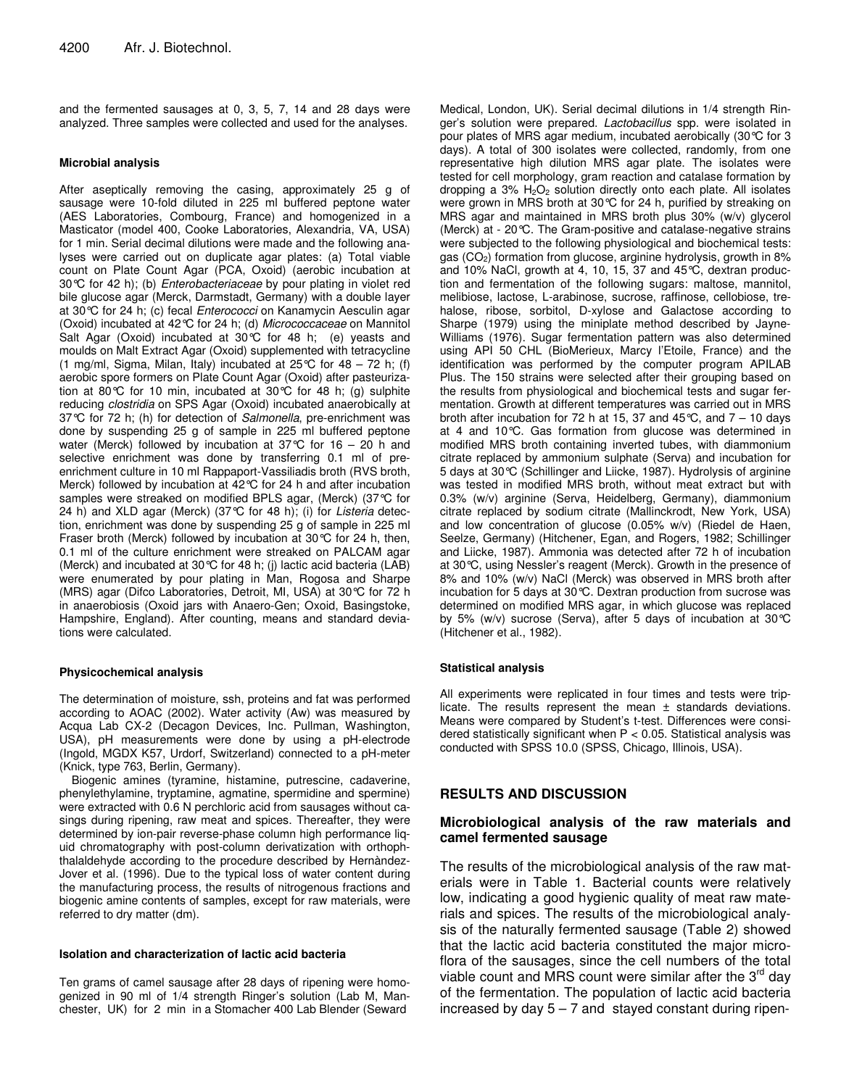and the fermented sausages at 0, 3, 5, 7, 14 and 28 days were analyzed. Three samples were collected and used for the analyses.

#### **Microbial analysis**

After aseptically removing the casing, approximately 25 g of sausage were 10-fold diluted in 225 ml buffered peptone water (AES Laboratories, Combourg, France) and homogenized in a Masticator (model 400, Cooke Laboratories, Alexandria, VA, USA) for 1 min. Serial decimal dilutions were made and the following analyses were carried out on duplicate agar plates: (a) Total viable count on Plate Count Agar (PCA, Oxoid) (aerobic incubation at 30°C for 42 h); (b) *Enterobacteriaceae* by pour plating in violet red bile glucose agar (Merck, Darmstadt, Germany) with a double layer at 30°C for 24 h; (c) fecal *Enterococci* on Kanamycin Aesculin agar (Oxoid) incubated at 42°C for 24 h; (d) *Micrococcaceae* on Mannitol Salt Agar (Oxoid) incubated at 30°C for 48 h; (e) yeasts and moulds on Malt Extract Agar (Oxoid) supplemented with tetracycline (1 mg/ml, Sigma, Milan, Italy) incubated at 25°C for 48 – 72 h; (f) aerobic spore formers on Plate Count Agar (Oxoid) after pasteurization at 80°C for 10 min, incubated at 30°C for 48 h; (g) sulphite reducing *clostridia* on SPS Agar (Oxoid) incubated anaerobically at 37°C for 72 h; (h) for detection of *Salmonella*, pre-enrichment was done by suspending 25 g of sample in 225 ml buffered peptone water (Merck) followed by incubation at 37 $\degree$ C for 16 – 20 h and selective enrichment was done by transferring 0.1 ml of preenrichment culture in 10 ml Rappaport-Vassiliadis broth (RVS broth, Merck) followed by incubation at 42°C for 24 h and after incubation samples were streaked on modified BPLS agar, (Merck) (37°C for 24 h) and XLD agar (Merck) (37°C for 48 h); (i) for *Listeria* detection, enrichment was done by suspending 25 g of sample in 225 ml Fraser broth (Merck) followed by incubation at 30°C for 24 h, then, 0.1 ml of the culture enrichment were streaked on PALCAM agar (Merck) and incubated at 30°C for 48 h; (j) lactic acid bacteria (LAB) were enumerated by pour plating in Man, Rogosa and Sharpe (MRS) agar (Difco Laboratories, Detroit, MI, USA) at 30°C for 72 h in anaerobiosis (Oxoid jars with Anaero-Gen; Oxoid, Basingstoke, Hampshire, England). After counting, means and standard deviations were calculated.

#### **Physicochemical analysis**

The determination of moisture, ssh, proteins and fat was performed according to AOAC (2002). Water activity (Aw) was measured by Acqua Lab CX-2 (Decagon Devices, Inc. Pullman, Washington, USA), pH measurements were done by using a pH-electrode (Ingold, MGDX K57, Urdorf, Switzerland) connected to a pH-meter (Knick, type 763, Berlin, Germany).

Biogenic amines (tyramine, histamine, putrescine, cadaverine, phenylethylamine, tryptamine, agmatine, spermidine and spermine) were extracted with 0.6 N perchloric acid from sausages without casings during ripening, raw meat and spices. Thereafter, they were determined by ion-pair reverse-phase column high performance liquid chromatography with post-column derivatization with orthophthalaldehyde according to the procedure described by Hernàndez-Jover et al. (1996). Due to the typical loss of water content during the manufacturing process, the results of nitrogenous fractions and biogenic amine contents of samples, except for raw materials, were referred to dry matter (dm).

#### **Isolation and characterization of lactic acid bacteria**

Ten grams of camel sausage after 28 days of ripening were homogenized in 90 ml of 1/4 strength Ringer's solution (Lab M, Manchester, UK) for 2 min in a Stomacher 400 Lab Blender (Seward

Medical, London, UK). Serial decimal dilutions in 1/4 strength Ringer's solution were prepared. *Lactobacillus* spp. were isolated in pour plates of MRS agar medium, incubated aerobically (30°C for 3 days). A total of 300 isolates were collected, randomly, from one representative high dilution MRS agar plate. The isolates were tested for cell morphology, gram reaction and catalase formation by dropping a 3%  $H_2O_2$  solution directly onto each plate. All isolates were grown in MRS broth at 30°C for 24 h, purified by streaking on MRS agar and maintained in MRS broth plus 30% (w/v) glycerol (Merck) at - 20°C. The Gram-positive and catalase-negative strains were subjected to the following physiological and biochemical tests: gas (CO<sub>2</sub>) formation from glucose, arginine hydrolysis, growth in 8% and 10% NaCl, growth at 4, 10, 15, 37 and 45°C, dextran production and fermentation of the following sugars: maltose, mannitol, melibiose, lactose, L-arabinose, sucrose, raffinose, cellobiose, trehalose, ribose, sorbitol, D-xylose and Galactose according to Sharpe (1979) using the miniplate method described by Jayne-Williams (1976). Sugar fermentation pattern was also determined using API 50 CHL (BioMerieux, Marcy l'Etoile, France) and the identification was performed by the computer program APILAB Plus. The 150 strains were selected after their grouping based on the results from physiological and biochemical tests and sugar fermentation. Growth at different temperatures was carried out in MRS broth after incubation for 72 h at 15, 37 and 45 $\degree$ C, and 7 – 10 days at 4 and 10°C. Gas formation from glucose was determined in modified MRS broth containing inverted tubes, with diammonium citrate replaced by ammonium sulphate (Serva) and incubation for 5 days at 30°C (Schillinger and Liicke, 1987). Hydrolysis of arginine was tested in modified MRS broth, without meat extract but with 0.3% (w/v) arginine (Serva, Heidelberg, Germany), diammonium citrate replaced by sodium citrate (Mallinckrodt, New York, USA) and low concentration of glucose (0.05% w/v) (Riedel de Haen, Seelze, Germany) (Hitchener, Egan, and Rogers, 1982; Schillinger and Liicke, 1987). Ammonia was detected after 72 h of incubation at 30°C, using Nessler's reagent (Merck). Growth in the presence of 8% and 10% (w/v) NaCl (Merck) was observed in MRS broth after incubation for 5 days at 30°C. Dextran production from sucrose was determined on modified MRS agar, in which glucose was replaced by 5% (w/v) sucrose (Serva), after 5 days of incubation at 30°C (Hitchener et al., 1982).

#### **Statistical analysis**

All experiments were replicated in four times and tests were triplicate. The results represent the mean ± standards deviations. Means were compared by Student's t-test. Differences were considered statistically significant when  $P < 0.05$ . Statistical analysis was conducted with SPSS 10.0 (SPSS, Chicago, Illinois, USA).

## **RESULTS AND DISCUSSION**

## **Microbiological analysis of the raw materials and camel fermented sausage**

The results of the microbiological analysis of the raw materials were in Table 1. Bacterial counts were relatively low, indicating a good hygienic quality of meat raw materials and spices. The results of the microbiological analysis of the naturally fermented sausage (Table 2) showed that the lactic acid bacteria constituted the major microflora of the sausages, since the cell numbers of the total viable count and MRS count were similar after the  $3<sup>rd</sup>$  day of the fermentation. The population of lactic acid bacteria increased by day  $5 - 7$  and stayed constant during ripen-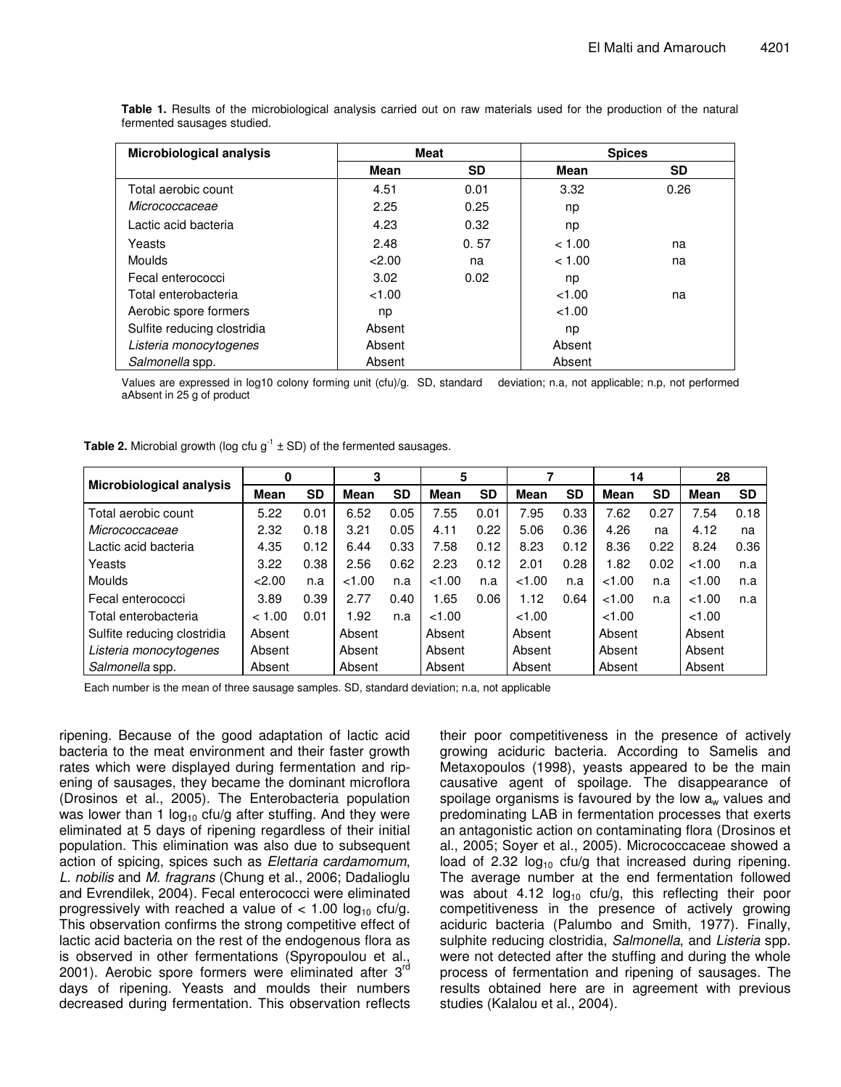| <b>Microbiological analysis</b> | <b>Meat</b> |      | <b>Spices</b> |      |
|---------------------------------|-------------|------|---------------|------|
|                                 | Mean        | SD   | Mean          | SD   |
| Total aerobic count             | 4.51        | 0.01 | 3.32          | 0.26 |
| Micrococcaceae                  | 2.25        | 0.25 | np            |      |
| Lactic acid bacteria            | 4.23        | 0.32 | np            |      |
| Yeasts                          | 2.48        | 0.57 | < 1.00        | na   |
| <b>Moulds</b>                   | 2.00        | na   | < 1.00        | na   |
| Fecal enterococci               | 3.02        | 0.02 | np            |      |
| Total enterobacteria            | < 1.00      |      | < 1.00        | na   |
| Aerobic spore formers           | np          |      | < 1.00        |      |
| Sulfite reducing clostridia     | Absent      |      | np            |      |
| Listeria monocytogenes          | Absent      |      | Absent        |      |
| Salmonella spp.                 | Absent      |      | Absent        |      |

**Table 1.** Results of the microbiological analysis carried out on raw materials used for the production of the natural fermented sausages studied.

Values are expressed in log10 colony forming unit (cfu)/g. SD, standard deviation; n.a, not applicable; n.p, not performed aAbsent in 25 g of product

|                             | 0           |           | 3      |           | 5      |           |        |           | 14     |           | 28     |           |
|-----------------------------|-------------|-----------|--------|-----------|--------|-----------|--------|-----------|--------|-----------|--------|-----------|
| Microbiological analysis    | <b>Mean</b> | <b>SD</b> | Mean   | <b>SD</b> | Mean   | <b>SD</b> | Mean   | <b>SD</b> | Mean   | <b>SD</b> | Mean   | <b>SD</b> |
| Total aerobic count         | 5.22        | 0.01      | 6.52   | 0.05      | 7.55   | 0.01      | 7.95   | 0.33      | 7.62   | 0.27      | 7.54   | 0.18      |
| Micrococcaceae              | 2.32        | 0.18      | 3.21   | 0.05      | 4.11   | 0.22      | 5.06   | 0.36      | 4.26   | na        | 4.12   | na        |
| Lactic acid bacteria        | 4.35        | 0.12      | 6.44   | 0.33      | 7.58   | 0.12      | 8.23   | 0.12      | 8.36   | 0.22      | 8.24   | 0.36      |
| Yeasts                      | 3.22        | 0.38      | 2.56   | 0.62      | 2.23   | 0.12      | 2.01   | 0.28      | 1.82   | 0.02      | <1.00  | n.a       |
| <b>Moulds</b>               | 22.00       | n.a       | <1.00  | n.a       | <1.00  | n.a       | <1.00  | n.a       | <1.00  | n.a       | <1.00  | n.a       |
| Fecal enterococci           | 3.89        | 0.39      | 2.77   | 0.40      | 1.65   | 0.06      | 1.12   | 0.64      | <1.00  | n.a       | <1.00  | n.a       |
| Total enterobacteria        | < 1.00      | 0.01      | 1.92   | n.a       | <1.00  |           | <1.00  |           | <1.00  |           | <1.00  |           |
| Sulfite reducing clostridia | Absent      |           | Absent |           | Absent |           | Absent |           | Absent |           | Absent |           |
| Listeria monocytogenes      | Absent      |           | Absent |           | Absent |           | Absent |           | Absent |           | Absent |           |
| Salmonella spp.             | Absent      |           | Absent |           | Absent |           | Absent |           | Absent |           | Absent |           |

**Table 2.** Microbial growth (log cfu  $g^{-1} \pm SD$ ) of the fermented sausages.

Each number is the mean of three sausage samples. SD, standard deviation; n.a, not applicable

ripening. Because of the good adaptation of lactic acid bacteria to the meat environment and their faster growth rates which were displayed during fermentation and ripening of sausages, they became the dominant microflora (Drosinos et al., 2005). The Enterobacteria population was lower than 1  $log_{10}$  cfu/g after stuffing. And they were eliminated at 5 days of ripening regardless of their initial population. This elimination was also due to subsequent action of spicing, spices such as *Elettaria cardamomum*, *L. nobilis* and *M. fragrans* (Chung et al., 2006; Dadalioglu and Evrendilek, 2004). Fecal enterococci were eliminated progressively with reached a value of  $< 1.00$  log<sub>10</sub> cfu/g. This observation confirms the strong competitive effect of lactic acid bacteria on the rest of the endogenous flora as is observed in other fermentations (Spyropoulou et al., 2001). Aerobic spore formers were eliminated after  $3^{rd}$ days of ripening. Yeasts and moulds their numbers decreased during fermentation. This observation reflects

their poor competitiveness in the presence of actively growing aciduric bacteria. According to Samelis and Metaxopoulos (1998), yeasts appeared to be the main causative agent of spoilage. The disappearance of spoilage organisms is favoured by the low  $a_w$  values and predominating LAB in fermentation processes that exerts an antagonistic action on contaminating flora (Drosinos et al., 2005; Soyer et al., 2005). Micrococcaceae showed a load of 2.32  $log_{10}$  cfu/g that increased during ripening. The average number at the end fermentation followed was about 4.12  $log_{10}$  cfu/g, this reflecting their poor competitiveness in the presence of actively growing aciduric bacteria (Palumbo and Smith, 1977). Finally, sulphite reducing clostridia, *Salmonella*, and *Listeria* spp. were not detected after the stuffing and during the whole process of fermentation and ripening of sausages. The results obtained here are in agreement with previous studies (Kalalou et al., 2004).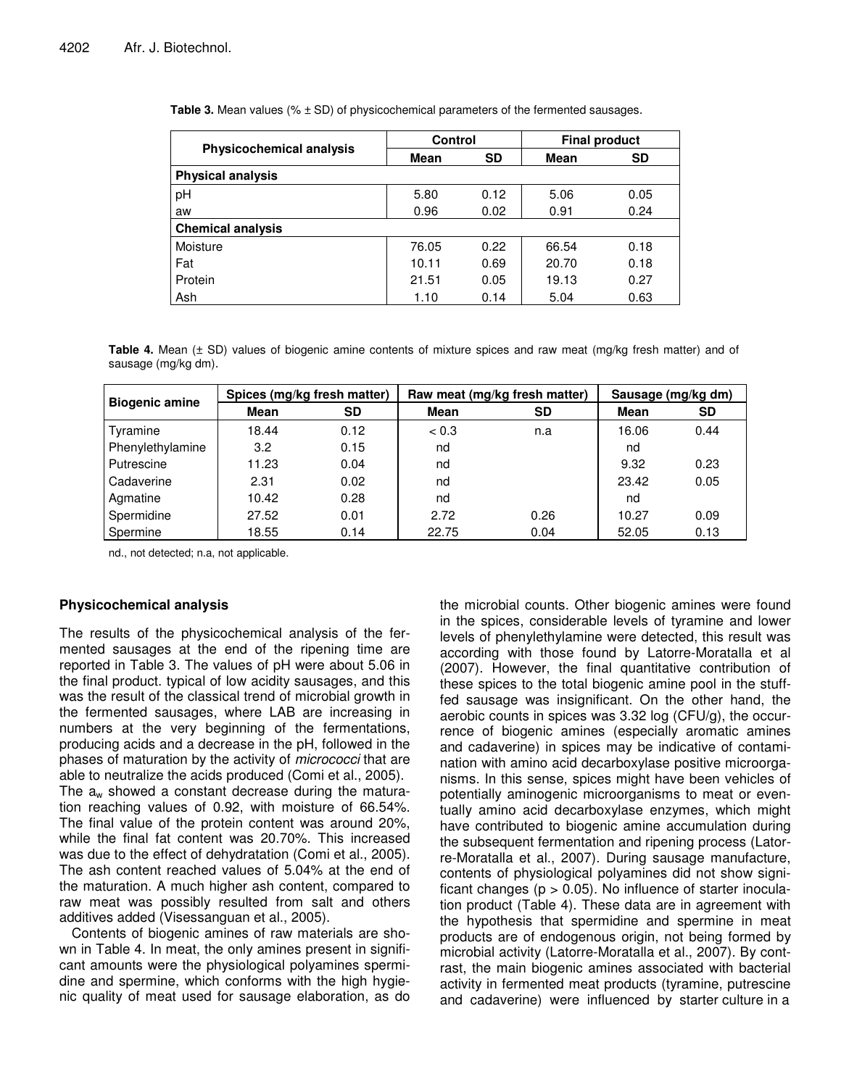|                                 | <b>Control</b> |           | <b>Final product</b> |           |  |  |
|---------------------------------|----------------|-----------|----------------------|-----------|--|--|
| <b>Physicochemical analysis</b> | Mean           | <b>SD</b> | <b>Mean</b>          | <b>SD</b> |  |  |
| <b>Physical analysis</b>        |                |           |                      |           |  |  |
| pH                              | 5.80           | 0.12      | 5.06                 | 0.05      |  |  |
| aw                              | 0.96           | 0.02      | 0.91                 | 0.24      |  |  |
| <b>Chemical analysis</b>        |                |           |                      |           |  |  |
| Moisture                        | 76.05          | 0.22      | 66.54                | 0.18      |  |  |
| Fat                             | 10.11          | 0.69      | 20.70                | 0.18      |  |  |
| Protein                         | 21.51          | 0.05      | 19.13                | 0.27      |  |  |
| Ash                             | 1.10           | 0.14      | 5.04                 | 0.63      |  |  |

**Table 3.** Mean values (% ± SD) of physicochemical parameters of the fermented sausages.

**Table 4.** Mean (± SD) values of biogenic amine contents of mixture spices and raw meat (mg/kg fresh matter) and of sausage (mg/kg dm).

| <b>Biogenic amine</b> | Spices (mg/kg fresh matter) |           |       | Raw meat (mg/kg fresh matter) | Sausage (mg/kg dm) |      |  |
|-----------------------|-----------------------------|-----------|-------|-------------------------------|--------------------|------|--|
|                       | <b>Mean</b>                 | <b>SD</b> | Mean  | SD                            | Mean               | SD   |  |
| Tyramine              | 18.44                       | 0.12      | < 0.3 | n.a                           | 16.06              | 0.44 |  |
| Phenylethylamine      | 3.2                         | 0.15      | nd    |                               | nd                 |      |  |
| Putrescine            | 11.23                       | 0.04      | nd    |                               | 9.32               | 0.23 |  |
| Cadaverine            | 2.31                        | 0.02      | nd    |                               | 23.42              | 0.05 |  |
| Agmatine              | 10.42                       | 0.28      | nd    |                               | nd                 |      |  |
| Spermidine            | 27.52                       | 0.01      | 2.72  | 0.26                          | 10.27              | 0.09 |  |
| Spermine              | 18.55                       | 0.14      | 22.75 | 0.04                          | 52.05              | 0.13 |  |

nd., not detected; n.a, not applicable.

## **Physicochemical analysis**

The results of the physicochemical analysis of the fermented sausages at the end of the ripening time are reported in Table 3. The values of pH were about 5.06 in the final product. typical of low acidity sausages, and this was the result of the classical trend of microbial growth in the fermented sausages, where LAB are increasing in numbers at the very beginning of the fermentations, producing acids and a decrease in the pH, followed in the phases of maturation by the activity of *micrococci* that are able to neutralize the acids produced (Comi et al., 2005). The  $a_w$  showed a constant decrease during the maturation reaching values of 0.92, with moisture of 66.54%. The final value of the protein content was around 20%, while the final fat content was 20.70%. This increased was due to the effect of dehydratation (Comi et al., 2005). The ash content reached values of 5.04% at the end of the maturation. A much higher ash content, compared to raw meat was possibly resulted from salt and others additives added (Visessanguan et al., 2005).

Contents of biogenic amines of raw materials are shown in Table 4. In meat, the only amines present in significant amounts were the physiological polyamines spermidine and spermine, which conforms with the high hygienic quality of meat used for sausage elaboration, as do the microbial counts. Other biogenic amines were found in the spices, considerable levels of tyramine and lower levels of phenylethylamine were detected, this result was according with those found by Latorre-Moratalla et al (2007). However, the final quantitative contribution of these spices to the total biogenic amine pool in the stufffed sausage was insignificant. On the other hand, the aerobic counts in spices was 3.32 log (CFU/g), the occurrence of biogenic amines (especially aromatic amines and cadaverine) in spices may be indicative of contamination with amino acid decarboxylase positive microorganisms. In this sense, spices might have been vehicles of potentially aminogenic microorganisms to meat or eventually amino acid decarboxylase enzymes, which might have contributed to biogenic amine accumulation during the subsequent fermentation and ripening process (Latorre-Moratalla et al., 2007). During sausage manufacture, contents of physiological polyamines did not show significant changes ( $p > 0.05$ ). No influence of starter inoculation product (Table 4). These data are in agreement with the hypothesis that spermidine and spermine in meat products are of endogenous origin, not being formed by microbial activity (Latorre-Moratalla et al., 2007). By contrast, the main biogenic amines associated with bacterial activity in fermented meat products (tyramine, putrescine and cadaverine) were influenced by starter culture in a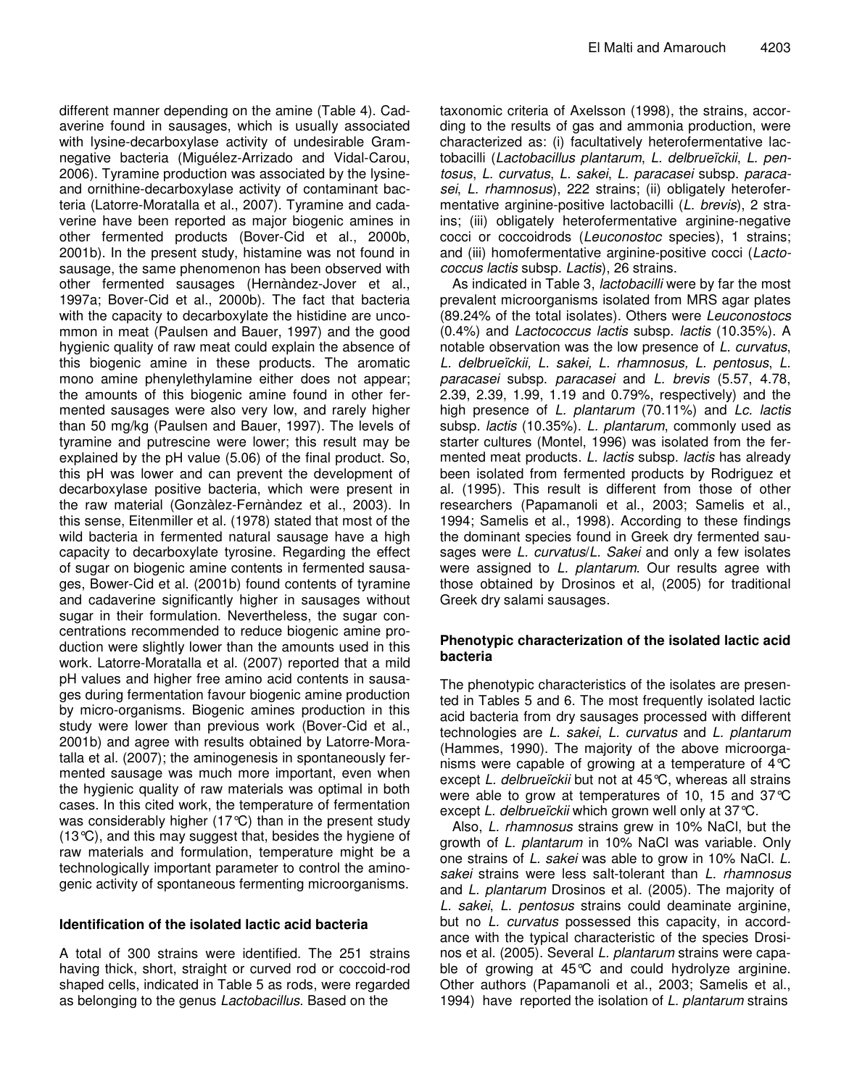different manner depending on the amine (Table 4). Cadaverine found in sausages, which is usually associated with lysine-decarboxylase activity of undesirable Gramnegative bacteria (Miguélez-Arrizado and Vidal-Carou, 2006). Tyramine production was associated by the lysineand ornithine-decarboxylase activity of contaminant bacteria (Latorre-Moratalla et al., 2007). Tyramine and cadaverine have been reported as major biogenic amines in other fermented products (Bover-Cid et al., 2000b, 2001b). In the present study, histamine was not found in sausage, the same phenomenon has been observed with other fermented sausages (Hernàndez-Jover et al., 1997a; Bover-Cid et al., 2000b). The fact that bacteria with the capacity to decarboxylate the histidine are uncommon in meat (Paulsen and Bauer, 1997) and the good hygienic quality of raw meat could explain the absence of this biogenic amine in these products. The aromatic mono amine phenylethylamine either does not appear; the amounts of this biogenic amine found in other fermented sausages were also very low, and rarely higher than 50 mg/kg (Paulsen and Bauer, 1997). The levels of tyramine and putrescine were lower; this result may be explained by the pH value (5.06) of the final product. So, this pH was lower and can prevent the development of decarboxylase positive bacteria, which were present in the raw material (Gonzàlez-Fernàndez et al., 2003). In this sense, Eitenmiller et al. (1978) stated that most of the wild bacteria in fermented natural sausage have a high capacity to decarboxylate tyrosine. Regarding the effect of sugar on biogenic amine contents in fermented sausages, Bower-Cid et al. (2001b) found contents of tyramine and cadaverine significantly higher in sausages without sugar in their formulation. Nevertheless, the sugar concentrations recommended to reduce biogenic amine production were slightly lower than the amounts used in this work. Latorre-Moratalla et al. (2007) reported that a mild pH values and higher free amino acid contents in sausages during fermentation favour biogenic amine production by micro-organisms. Biogenic amines production in this study were lower than previous work (Bover-Cid et al., 2001b) and agree with results obtained by Latorre-Moratalla et al. (2007); the aminogenesis in spontaneously fermented sausage was much more important, even when the hygienic quality of raw materials was optimal in both cases. In this cited work, the temperature of fermentation was considerably higher (17°C) than in the present study (13°C), and this may suggest that, besides the hygiene of raw materials and formulation, temperature might be a technologically important parameter to control the aminogenic activity of spontaneous fermenting microorganisms.

# **Identification of the isolated lactic acid bacteria**

A total of 300 strains were identified. The 251 strains having thick, short, straight or curved rod or coccoid-rod shaped cells, indicated in Table 5 as rods, were regarded as belonging to the genus *Lactobacillus*. Based on the

taxonomic criteria of Axelsson (1998), the strains, according to the results of gas and ammonia production, were characterized as: (i) facultatively heterofermentative lactobacilli (*Lactobacillus plantarum*, *L. delbrueïckii*, *L. pentosus*, *L. curvatus*, *L. sakei*, *L. paracasei* subsp. *paracasei*, *L. rhamnosus*), 222 strains; (ii) obligately heterofermentative arginine-positive lactobacilli (*L. brevis*), 2 strains; (iii) obligately heterofermentative arginine-negative cocci or coccoidrods (*Leuconostoc* species), 1 strains; and (iii) homofermentative arginine-positive cocci (*Lactococcus lactis* subsp. *Lactis*), 26 strains.

As indicated in Table 3, *lactobacilli* were by far the most prevalent microorganisms isolated from MRS agar plates (89.24% of the total isolates). Others were *Leuconostocs* (0.4%) and *Lactococcus lactis* subsp. *lactis* (10.35%). A notable observation was the low presence of *L. curvatus*, *L. delbrueïckii, L. sakei, L. rhamnosus, L. pentosus*, *L. paracasei* subsp. *paracasei* and *L. brevis* (5.57, 4.78, 2.39, 2.39, 1.99, 1.19 and 0.79%, respectively) and the high presence of *L. plantarum* (70.11%) and *Lc. lactis* subsp*. lactis* (10.35%). *L. plantarum*, commonly used as starter cultures (Montel, 1996) was isolated from the fermented meat products. *L. lactis* subsp. *lactis* has already been isolated from fermented products by Rodriguez et al. (1995). This result is different from those of other researchers (Papamanoli et al., 2003; Samelis et al., 1994; Samelis et al., 1998). According to these findings the dominant species found in Greek dry fermented sausages were *L. curvatus*/*L. Sakei* and only a few isolates were assigned to *L. plantarum*. Our results agree with those obtained by Drosinos et al, (2005) for traditional Greek dry salami sausages.

## **Phenotypic characterization of the isolated lactic acid bacteria**

The phenotypic characteristics of the isolates are presented in Tables 5 and 6. The most frequently isolated lactic acid bacteria from dry sausages processed with different technologies are *L. sakei*, *L. curvatus* and *L. plantarum* (Hammes, 1990). The majority of the above microorganisms were capable of growing at a temperature of 4°C except *L. delbrueïckii* but not at 45°C, whereas all strains were able to grow at temperatures of 10, 15 and 37°C except *L. delbrueïckii* which grown well only at 37°C.

Also, *L. rhamnosus* strains grew in 10% NaCl, but the growth of *L. plantarum* in 10% NaCl was variable. Only one strains of *L. sakei* was able to grow in 10% NaCl. *L. sakei* strains were less salt-tolerant than *L. rhamnosus* and *L. plantarum* Drosinos et al. (2005). The majority of *L. sakei*, *L. pentosus* strains could deaminate arginine, but no *L. curvatus* possessed this capacity, in accordance with the typical characteristic of the species Drosinos et al. (2005). Several *L. plantarum* strains were capable of growing at 45°C and could hydrolyze arginine. Other authors (Papamanoli et al., 2003; Samelis et al., 1994) have reported the isolation of *L. plantarum* strains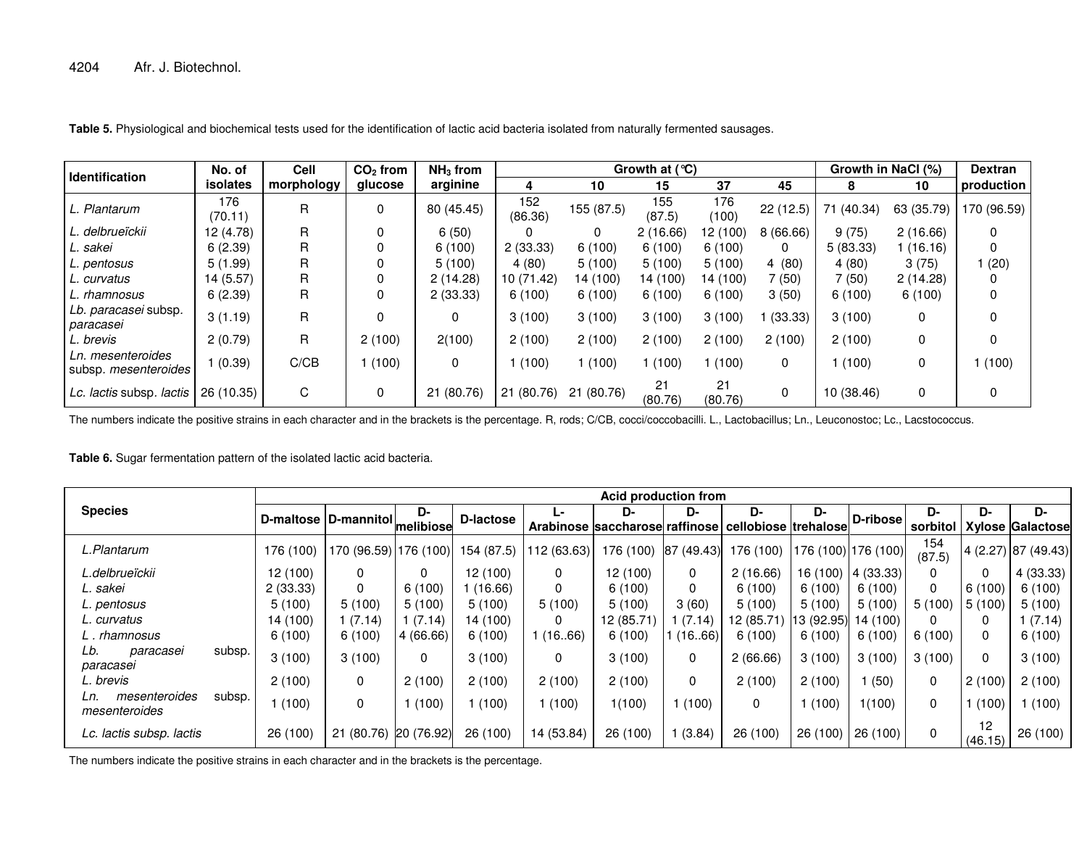| <b>Identification</b>                     | No. of         | Cell       | $CO2$ from | $NH3$ from |                | Growth at $(°C)$ |               |               |              |            | Growth in NaCl (%) |             |  |
|-------------------------------------------|----------------|------------|------------|------------|----------------|------------------|---------------|---------------|--------------|------------|--------------------|-------------|--|
|                                           | isolates       | morphology | glucose    | arginine   |                | 10               | 15            | 37            | 45           |            | 10                 | production  |  |
| L. Plantarum                              | 176<br>(70.11) | R          | 0          | 80 (45.45) | 152<br>(86.36) | 155 (87.5)       | 155<br>(87.5) | 176<br>(100)  | 22(12.5)     | 71 (40.34) | 63 (35.79)         | 170 (96.59) |  |
| L. delbrueïckii                           | 12 (4.78)      | R          | 0          | 6(50)      |                | 0                | 2(16.66)      | 12 (100)      | 8(66.66)     | 9(75)      | 2(16.66)           |             |  |
| L. sakei                                  | 6(2.39)        | R          |            | 6(100)     | 2(33.33)       | 6(100)           | 6(100)        | 6(100)        | $\Omega$     | 5(83.33)   | 1(16.16)           |             |  |
| L. pentosus                               | 5(1.99)        | R          |            | 5(100)     | 4(80)          | 5(100)           | 5(100)        | 5(100)        | 4(80)        | 4(80)      | 3(75)              | 1 (20)      |  |
| L. curvatus                               | 14 (5.57)      | R          | 0          | 2(14.28)   | 10 (71.42)     | 14 (100)         | 14 (100)      | 14 (100)      | 7 (50)       | 7 (50)     | 2(14.28)           |             |  |
| L. rhamnosus                              | 6(2.39)        | R          | 0          | 2(33.33)   | 6(100)         | 6(100)           | 6(100)        | 6(100)        | 3(50)        | 6(100)     | 6(100)             |             |  |
| Lb. paracasei subsp.<br>paracasei         | 3(1.19)        | R          | 0          | 0          | 3(100)         | 3(100)           | 3(100)        | 3(100)        | (33.33)      | 3(100)     | 0                  |             |  |
| L. brevis                                 | 2(0.79)        | R          | 2(100)     | 2(100)     | 2(100)         | 2(100)           | 2(100)        | 2(100)        | 2(100)       | 2(100)     | 0                  |             |  |
| Ln. mesenteroides<br>subsp. mesenteroides | 1(0.39)        | C/CB       | (100)      | 0          | (100)          | (100)            | (100)         | (100)         | $\mathbf{0}$ | (100)      | 0                  | 1(100)      |  |
| Lc. lactis subsp. lactis                  | 26 (10.35)     | C          | 0          | 21 (80.76) | 21 (80.76)     | 21 (80.76)       | 21<br>(80.76) | 21<br>(80.76) | $\mathbf{0}$ | 10 (38.46) | 0                  |             |  |

**Table 5.** Physiological and biochemical tests used for the identification of lactic acid bacteria isolated from naturally fermented sausages.

The numbers indicate the positive strains in each character and in the brackets is the percentage. R, rods; C/CB, cocci/coccobacilli. L., Lactobacillus; Ln., Leuconostoc; Lc., Lacstococcus.

**Table 6.** Sugar fermentation pattern of the isolated lactic acid bacteria.

|                                                 |                                | <b>Acid production from</b> |            |            |             |                                |            |                      |           |                     |               |               |                         |  |
|-------------------------------------------------|--------------------------------|-----------------------------|------------|------------|-------------|--------------------------------|------------|----------------------|-----------|---------------------|---------------|---------------|-------------------------|--|
| <b>Species</b>                                  | D-maltose D-mannitol melibiose |                             | D-         | D-lactose  | Ŀ.          | D-                             | D-         | D-                   | D-        | D-ribose            | D-            | D-            | D-                      |  |
|                                                 |                                |                             |            |            |             | Arabinose saccharose raffinose |            | cellobiose trehalose |           |                     | sorbitol      |               | <b>Xylose Galactose</b> |  |
| L.Plantarum                                     | 176 (100)                      | 170 (96.59) 176 (100)       |            | 154 (87.5) | 112 (63.63) | 176 (100)                      | 87 (49.43) | 76 (100)             |           | 176 (100) 176 (100) | 154<br>(87.5) |               | 4 (2.27) 87 (49.43)     |  |
| L.delbrueïckii                                  | 12(100)                        |                             | 0          | 12(100)    | 0           | 12(100)                        | 0          | 2(16.66)             | 16 (100)  | 4(33.33)            | 0             | 0             | 4(33.33)                |  |
| L. sakei                                        | 2(33.33)                       |                             | 6(100)     | (16.66)    | 0           | 6(100)                         | 0          | 6(100)               | 6(100)    | 6(100)              | 0             | 6(100)        | 6(100)                  |  |
| L. pentosus                                     | 5(100)                         | 5(100)                      | 5(100)     | 5(100)     | 5(100)      | 5(100)                         | 3(60)      | 5(100)               | 5(100)    | 5(100)              | 5(100)        | 5 (100)       | 5(100)                  |  |
| L. curvatus                                     | 14 (100)                       | (7.14)                      | (7.14)     | 14 (100)   | 0           | 12 (85.71)                     | (7.14)     | 12 (85.71)           | 13(92.95) | 14 (100)            | 0             | 0             | 1(7.14)                 |  |
| L. rhamnosus                                    | 6(100)                         | 6(100)                      | 4(66.66)   | 6(100)     | (1666)      | 6(100)                         | 1(16.66)   | 6(100)               | 6(100)    | 6(100)              | 6(100)        | 0             | 6(100)                  |  |
| Lb.<br>subsp.<br>paracasei<br>paracasei         | 3(100)                         | 3(100)                      | 0          | 3(100)     | 0           | 3(100)                         | 0          | 2(66.66)             | 3(100)    | 3(100)              | 3(100)        | 0             | 3(100)                  |  |
| L. brevis                                       | 2(100)                         |                             | 2(100)     | 2(100)     | 2(100)      | 2(100)                         | 0          | 2(100)               | 2(100)    | (50)                | 0             | 2(100)        | 2(100)                  |  |
| mesenteroides<br>subsp.<br>Ln.<br>mesenteroides | (100)                          | $\Omega$                    | (100)      | 1(100)     | (100)       | 1(100)                         | 1(100)     | 0                    | (100)     | 1(100)              | 0             | (100)         | (100)                   |  |
| Lc. lactis subsp. lactis                        | 26 (100)                       | 21 (80.76)                  | 20 (76.92) | 26 (100)   | 14 (53.84)  | 26 (100)                       | (3.84)     | 26 (100)             | 26 (100)  | 26 (100)            | 0             | 12<br>(46.15) | 26 (100)                |  |

The numbers indicate the positive strains in each character and in the brackets is the percentage.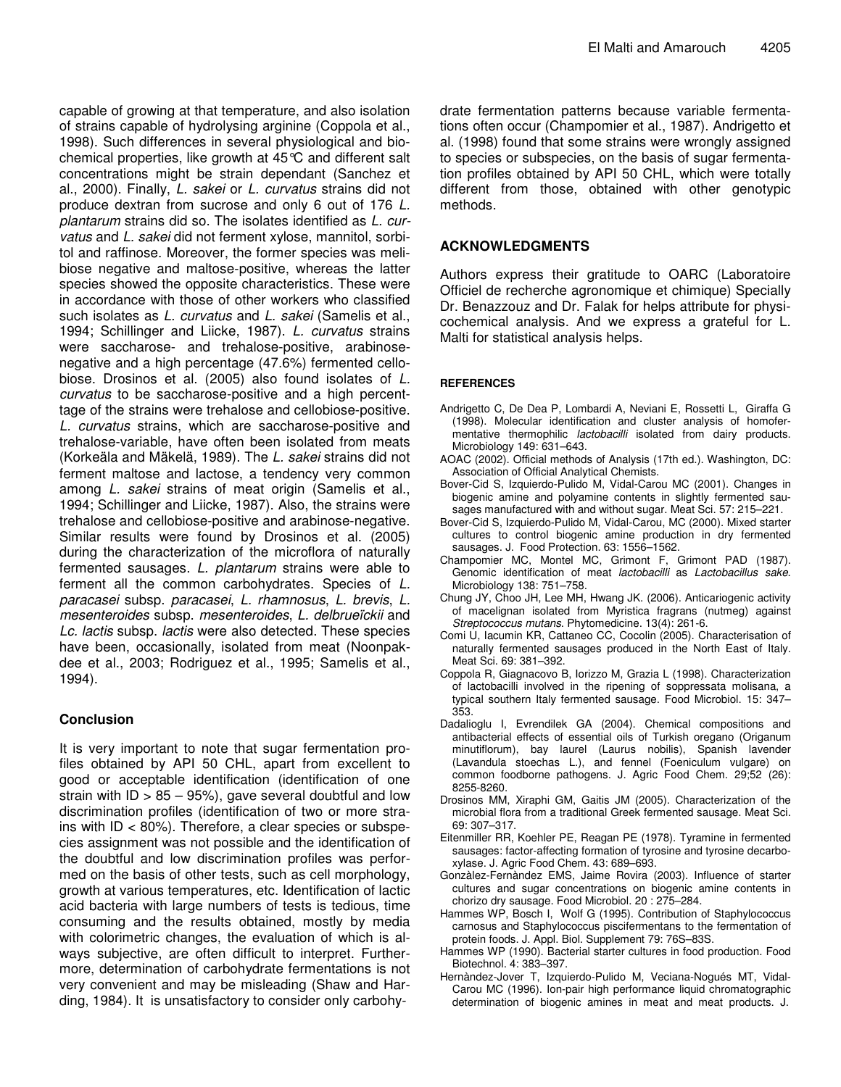capable of growing at that temperature, and also isolation of strains capable of hydrolysing arginine (Coppola et al., 1998). Such differences in several physiological and biochemical properties, like growth at 45°C and different salt concentrations might be strain dependant (Sanchez et al., 2000). Finally, *L. sakei* or *L. curvatus* strains did not produce dextran from sucrose and only 6 out of 176 *L. plantarum* strains did so. The isolates identified as *L. curvatus* and *L. sakei* did not ferment xylose, mannitol, sorbitol and raffinose. Moreover, the former species was melibiose negative and maltose-positive, whereas the latter species showed the opposite characteristics. These were in accordance with those of other workers who classified such isolates as *L. curvatus* and *L. sakei* (Samelis et al., 1994; Schillinger and Liicke, 1987). *L. curvatus* strains were saccharose- and trehalose-positive, arabinosenegative and a high percentage (47.6%) fermented cellobiose. Drosinos et al. (2005) also found isolates of *L. curvatus* to be saccharose-positive and a high percenttage of the strains were trehalose and cellobiose-positive. *L. curvatus* strains, which are saccharose-positive and trehalose-variable, have often been isolated from meats (Korkeäla and Mäkelä, 1989). The *L. sakei* strains did not ferment maltose and lactose, a tendency very common among *L. sakei* strains of meat origin (Samelis et al., 1994; Schillinger and Liicke, 1987). Also, the strains were trehalose and cellobiose-positive and arabinose-negative. Similar results were found by Drosinos et al. (2005) during the characterization of the microflora of naturally fermented sausages. *L. plantarum* strains were able to ferment all the common carbohydrates. Species of *L. paracasei* subsp. *paracasei*, *L. rhamnosus*, *L. brevis*, *L. mesenteroides* subsp. *mesenteroides*, *L. delbrueïckii* and *Lc. lactis* subsp. *lactis* were also detected. These species have been, occasionally, isolated from meat (Noonpakdee et al., 2003; Rodriguez et al., 1995; Samelis et al., 1994).

## **Conclusion**

It is very important to note that sugar fermentation profiles obtained by API 50 CHL, apart from excellent to good or acceptable identification (identification of one strain with  $ID > 85 - 95$ %, gave several doubtful and low discrimination profiles (identification of two or more strains with ID < 80%). Therefore, a clear species or subspecies assignment was not possible and the identification of the doubtful and low discrimination profiles was performed on the basis of other tests, such as cell morphology, growth at various temperatures, etc. Identification of lactic acid bacteria with large numbers of tests is tedious, time consuming and the results obtained, mostly by media with colorimetric changes, the evaluation of which is always subjective, are often difficult to interpret. Furthermore, determination of carbohydrate fermentations is not very convenient and may be misleading (Shaw and Harding, 1984). It is unsatisfactory to consider only carbohydrate fermentation patterns because variable fermentations often occur (Champomier et al., 1987). Andrigetto et al. (1998) found that some strains were wrongly assigned to species or subspecies, on the basis of sugar fermentation profiles obtained by API 50 CHL, which were totally different from those, obtained with other genotypic methods.

# **ACKNOWLEDGMENTS**

Authors express their gratitude to OARC (Laboratoire Officiel de recherche agronomique et chimique) Specially Dr. Benazzouz and Dr. Falak for helps attribute for physicochemical analysis. And we express a grateful for L. Malti for statistical analysis helps.

## **REFERENCES**

- Andrigetto C, De Dea P, Lombardi A, Neviani E, Rossetti L, Giraffa G (1998). Molecular identification and cluster analysis of homofermentative thermophilic *lactobacilli* isolated from dairy products. Microbiology 149: 631–643.
- AOAC (2002). Official methods of Analysis (17th ed.). Washington, DC: Association of Official Analytical Chemists.
- Bover-Cid S, Izquierdo-Pulido M, Vidal-Carou MC (2001). Changes in biogenic amine and polyamine contents in slightly fermented sausages manufactured with and without sugar. Meat Sci. 57: 215–221.
- Bover-Cid S, Izquierdo-Pulido M, Vidal-Carou, MC (2000). Mixed starter cultures to control biogenic amine production in dry fermented sausages. J. Food Protection. 63: 1556–1562.
- Champomier MC, Montel MC, Grimont F, Grimont PAD (1987). Genomic identification of meat *lactobacilli* as *Lactobacillus sake*. Microbiology 138: 751–758.
- Chung JY, Choo JH, Lee MH, Hwang JK. (2006). Anticariogenic activity of macelignan isolated from Myristica fragrans (nutmeg) against *Streptococcus mutans*. Phytomedicine. 13(4): 261-6.
- Comi U, Iacumin KR, Cattaneo CC, Cocolin (2005). Characterisation of naturally fermented sausages produced in the North East of Italy. Meat Sci. 69: 381–392.
- Coppola R, Giagnacovo B, Iorizzo M, Grazia L (1998). Characterization of lactobacilli involved in the ripening of soppressata molisana, a typical southern Italy fermented sausage. Food Microbiol. 15: 347– 353.
- Dadalioglu I, Evrendilek GA (2004). Chemical compositions and antibacterial effects of essential oils of Turkish oregano (Origanum minutiflorum), bay laurel (Laurus nobilis), Spanish lavender (Lavandula stoechas L.), and fennel (Foeniculum vulgare) on common foodborne pathogens. J. Agric Food Chem. 29;52 (26): 8255-8260.
- Drosinos MM, Xiraphi GM, Gaitis JM (2005). Characterization of the microbial flora from a traditional Greek fermented sausage. Meat Sci. 69: 307–317.
- Eitenmiller RR, Koehler PE, Reagan PE (1978). Tyramine in fermented sausages: factor-affecting formation of tyrosine and tyrosine decarboxylase. J. Agric Food Chem. 43: 689–693.
- Gonzàlez-Fernàndez EMS, Jaime Rovira (2003). Influence of starter cultures and sugar concentrations on biogenic amine contents in chorizo dry sausage. Food Microbiol. 20 : 275–284.
- Hammes WP, Bosch I, Wolf G (1995). Contribution of Staphylococcus carnosus and Staphylococcus piscifermentans to the fermentation of protein foods. J. Appl. Biol. Supplement 79: 76S–83S.
- Hammes WP (1990). Bacterial starter cultures in food production. Food Biotechnol. 4: 383–397.
- Hernàndez-Jover T, Izquierdo-Pulido M, Veciana-Nogués MT, Vidal-Carou MC (1996). Ion-pair high performance liquid chromatographic determination of biogenic amines in meat and meat products. J.